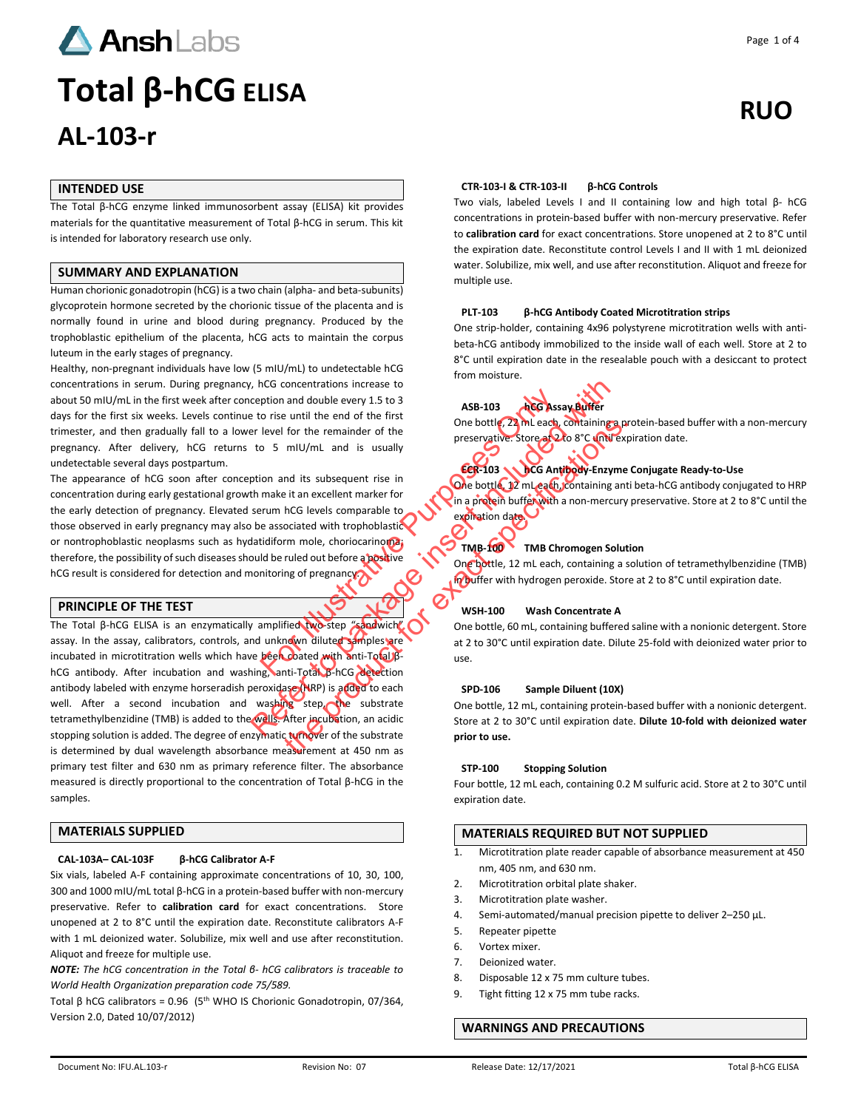

# **AL-103-r**

# **INTENDED USE**

The Total β-hCG enzyme linked immunosorbent assay (ELISA) kit provides materials for the quantitative measurement of Total β-hCG in serum. This kit is intended for laboratory research use only.

# **SUMMARY AND EXPLANATION**

Human chorionic gonadotropin (hCG) is a two chain (alpha- and beta-subunits) glycoprotein hormone secreted by the chorionic tissue of the placenta and is normally found in urine and blood during pregnancy. Produced by the trophoblastic epithelium of the placenta, hCG acts to maintain the corpus luteum in the early stages of pregnancy.

Healthy, non-pregnant individuals have low (5 mIU/mL) to undetectable hCG concentrations in serum. During pregnancy, hCG concentrations increase to about 50 mIU/mL in the first week after conception and double every 1.5 to 3 days for the first six weeks. Levels continue to rise until the end of the first trimester, and then gradually fall to a lower level for the remainder of the pregnancy. After delivery, hCG returns to 5 mIU/mL and is usually undetectable several days postpartum.

The appearance of hCG soon after conception and its subsequent rise in concentration during early gestational growth make it an excellent marker for the early detection of pregnancy. Elevated serum hCG levels comparable to those observed in early pregnancy may also be associated with trophoblastic or nontrophoblastic neoplasms such as hydatidiform mole, choriocarinoma; therefore, the possibility of such diseases should be ruled out before a positive hCG result is considered for detection and monitoring of pregnancy? ption and double every 1.5 to 3<br>
o rise until the end of the first<br>
level for the remainder of the<br>
o 5 mIU/mL and is usually<br>
ion and its subsequent rise in<br>
make it an excellent marker for<br>
make it an excellent marker fo

# **PRINCIPLE OF THE TEST**

The Total β-hCG ELISA is an enzymatically amplified two-step "sandwich" assay. In the assay, calibrators, controls, and unknown diluted samples are incubated in microtitration wells which have been coated with anti-Total βhCG antibody. After incubation and washing, anti-Total β-hCG detection antibody labeled with enzyme horseradish peroxidase (HRP) is added to each well. After a second incubation and washing step, the substrate tetramethylbenzidine (TMB) is added to the wells. After incubation, an acidic stopping solution is added. The degree of enzymatic turnover of the substrate is determined by dual wavelength absorbance measurement at 450 nm as primary test filter and 630 nm as primary reference filter. The absorbance measured is directly proportional to the concentration of Total β-hCG in the samples. Proposition and its subsequent rise in the end of the first to rise unit the end of the first to pack of the small of the small of the state included with trophoblastic contractive. Store and to a matter in the state in e For the remainder of the<br>
mill/mL and is usually<br>
not its subsequent rise in<br>
the preservative store at 2 to 30°C until expirations.<br>
In a product but for the animal strategy in mole, choronarable to<br>
not a product but for

# **MATERIALS SUPPLIED**

#### **CAL-103A– CAL-103F β-hCG Calibrator A-F**

Six vials, labeled A-F containing approximate concentrations of 10, 30, 100, 300 and 1000 mIU/mL total β-hCG in a protein-based buffer with non-mercury preservative. Refer to **calibration card** for exact concentrations. Store unopened at 2 to 8°C until the expiration date. Reconstitute calibrators A-F with 1 mL deionized water. Solubilize, mix well and use after reconstitution. Aliquot and freeze for multiple use.

*NOTE: The hCG concentration in the Total β- hCG calibrators is traceable to World Health Organization preparation code 75/589.* 

Total β hCG calibrators =  $0.96$  (5<sup>th</sup> WHO IS Chorionic Gonadotropin, 07/364, Version 2.0, Dated 10/07/2012)

#### **CTR-103-I & CTR-103-II β-hCG Controls**

Two vials, labeled Levels I and II containing low and high total β- hCG concentrations in protein-based buffer with non-mercury preservative. Refer to **calibration card** for exact concentrations. Store unopened at 2 to 8°C until the expiration date. Reconstitute control Levels I and II with 1 mL deionized water. Solubilize, mix well, and use after reconstitution. Aliquot and freeze for multiple use.

#### **PLT-103 β-hCG Antibody Coated Microtitration strips**

One strip-holder, containing 4x96 polystyrene microtitration wells with antibeta-hCG antibody immobilized to the inside wall of each well. Store at 2 to 8°C until expiration date in the resealable pouch with a desiccant to protect from moisture.

# **ASB-103 hCG Assay Buffer**

One bottle, 22 mL each, containing a protein-based buffer with a non-mercury preservative. Store at 2 to 8°C until expiration date.

# **ECR-103 hCG Antibody-Enzyme Conjugate Ready-to-Use**

One bottle, 12 mL each, containing anti beta-hCG antibody conjugated to HRP in a protein buffer with a non-mercury preservative. Store at 2 to 8°C until the expiration date.

# **TMB-100 TMB Chromogen Solution**

One bottle, 12 mL each, containing a solution of tetramethylbenzidine (TMB) in buffer with hydrogen peroxide. Store at 2 to 8°C until expiration date.

#### **WSH-100 Wash Concentrate A**

One bottle, 60 mL, containing buffered saline with a nonionic detergent. Store at 2 to 30°C until expiration date. Dilute 25-fold with deionized water prior to use.

#### **SPD-106 Sample Diluent (10X)**

One bottle, 12 mL, containing protein-based buffer with a nonionic detergent. Store at 2 to 30°C until expiration date. **Dilute 10-fold with deionized water prior to use.**

#### **STP-100 Stopping Solution**

Four bottle, 12 mL each, containing 0.2 M sulfuric acid. Store at 2 to 30°C until expiration date.

# **MATERIALS REQUIRED BUT NOT SUPPLIED**

- 1. Microtitration plate reader capable of absorbance measurement at 450 nm, 405 nm, and 630 nm.
- 2. Microtitration orbital plate shaker.
- 3. Microtitration plate washer.
- 4. Semi-automated/manual precision pipette to deliver 2–250 μL.
- 5. Repeater pipette
- 6. Vortex mixer.
- 7. Deionized water.
- 8. Disposable 12 x 75 mm culture tubes.
- 9. Tight fitting 12 x 75 mm tube racks.

# **WARNINGS AND PRECAUTIONS**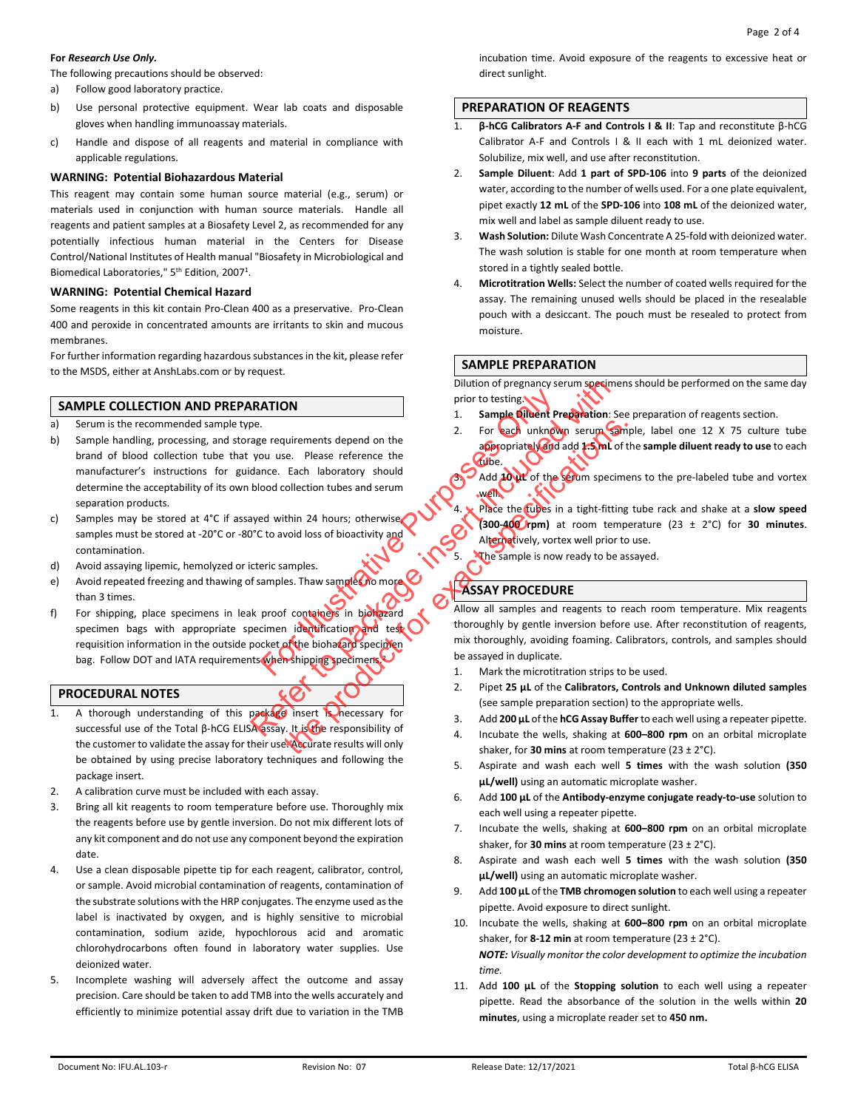#### **For** *Research Use Only.*

The following precautions should be observed:

- a) Follow good laboratory practice.
- b) Use personal protective equipment. Wear lab coats and disposable gloves when handling immunoassay materials.
- c) Handle and dispose of all reagents and material in compliance with applicable regulations.

# **WARNING: Potential Biohazardous Material**

This reagent may contain some human source material (e.g., serum) or materials used in conjunction with human source materials. Handle all reagents and patient samples at a Biosafety Level 2, as recommended for any potentially infectious human material in the Centers for Disease Control/National Institutes of Health manual "Biosafety in Microbiological and Biomedical Laboratories," 5<sup>th</sup> Edition, 2007<sup>1</sup>.

#### **WARNING: Potential Chemical Hazard**

Some reagents in this kit contain Pro-Clean 400 as a preservative. Pro-Clean 400 and peroxide in concentrated amounts are irritants to skin and mucous membranes.

For further information regarding hazardous substances in the kit, please refer to the MSDS, either at AnshLabs.com or by request.

# **SAMPLE COLLECTION AND PREPARATION**

- a) Serum is the recommended sample type.
- b) Sample handling, processing, and storage requirements depend on the brand of blood collection tube that you use. Please reference the manufacturer's instructions for guidance. Each laboratory should determine the acceptability of its own blood collection tubes and serum separation products. For the proof containers and the sample Chemistipping<br>
Survey of containing the sample of the biology of containing and the sample is now and the sample is now and containers. That sample Chemistrative Purpose of Chemistra REFERITION<br>
Dilution of pregnancy serum specime<br>
Proto to thing<br>
Package requirements depend on the<br>
year equirements depend on the<br>
2. For seach unknown serum<br>
service. Plane and service<br>
within 24 hours; otherwise<br>
with
- c) Samples may be stored at 4°C if assayed within 24 hours; otherwise, samples must be stored at -20°C or -80°C to avoid loss of bioactivity and contamination.
- d) Avoid assaying lipemic, hemolyzed or icteric samples.
- e) Avoid repeated freezing and thawing of samples. Thaw samples no more than 3 times.
- f) For shipping, place specimens in leak proof containers in biohazard specimen bags with appropriate specimen identification and test requisition information in the outside pocket of the biohazard specimen bag. Follow DOT and IATA requirements when shipping specimens.

# **PROCEDURAL NOTES**

- 1. A thorough understanding of this package insert is hecessary for successful use of the Total β-hCG ELISA assay. It is the responsibility of the customer to validate the assay for their use. Accurate results will only be obtained by using precise laboratory techniques and following the package insert.
- 2. A calibration curve must be included with each assay.
- 3. Bring all kit reagents to room temperature before use. Thoroughly mix the reagents before use by gentle inversion. Do not mix different lots of any kit component and do not use any component beyond the expiration date.
- 4. Use a clean disposable pipette tip for each reagent, calibrator, control, or sample. Avoid microbial contamination of reagents, contamination of the substrate solutions with the HRP conjugates. The enzyme used as the label is inactivated by oxygen, and is highly sensitive to microbial contamination, sodium azide, hypochlorous acid and aromatic chlorohydrocarbons often found in laboratory water supplies. Use deionized water.
- 5. Incomplete washing will adversely affect the outcome and assay precision. Care should be taken to add TMB into the wells accurately and efficiently to minimize potential assay drift due to variation in the TMB

incubation time. Avoid exposure of the reagents to excessive heat or direct sunlight.

# **PREPARATION OF REAGENTS**

- 1. **β-hCG Calibrators A-F and Controls I & II**: Tap and reconstitute β-hCG Calibrator A-F and Controls I & II each with 1 mL deionized water. Solubilize, mix well, and use after reconstitution.
- 2. **Sample Diluent**: Add **1 part of SPD-106** into **9 parts** of the deionized water, according to the number of wells used. For a one plate equivalent, pipet exactly **12 mL** of the **SPD-106** into **108 mL** of the deionized water, mix well and label as sample diluent ready to use.
- 3. **Wash Solution:** Dilute Wash Concentrate A 25-fold with deionized water. The wash solution is stable for one month at room temperature when stored in a tightly sealed bottle.
- 4. **Microtitration Wells:** Select the number of coated wells required for the assay. The remaining unused wells should be placed in the resealable pouch with a desiccant. The pouch must be resealed to protect from moisture.

## **SAMPLE PREPARATION**

Dilution of pregnancy serum specimens should be performed on the same day prior to testing.

- 1. **Sample Diluent Preparation**: See preparation of reagents section.
- 2. For each unknown serum sample, label one 12 X 75 culture tube appropriately and add **1.5 mL** of the **sample diluent ready to use** to each tube.

3. Add **10 µL** of the serum specimens to the pre-labeled tube and vortex well.

Place the tubes in a tight-fitting tube rack and shake at a **slow speed (300-400 rpm)** at room temperature (23 ± 2°C) for **30 minutes**. Alternatively, vortex well prior to use.

The sample is now ready to be assayed.

# **ASSAY PROCEDURE**

Allow all samples and reagents to reach room temperature. Mix reagents thoroughly by gentle inversion before use. After reconstitution of reagents, mix thoroughly, avoiding foaming. Calibrators, controls, and samples should be assayed in duplicate. Sometimes the microscopy of the Same the microscopy of the Same terms of the Same terms of the Same terms in a tight-fitting order than the Same terms of the Same terms in a tight-fitting would loss of bioactivity and the

- 1. Mark the microtitration strips to be used.
- 2. Pipet **25 µL** of the **Calibrators, Controls and Unknown diluted samples** (see sample preparation section) to the appropriate wells.
- 3. Add **200 µL** of the **hCG Assay Buffer** to each well using a repeater pipette.
- 4. Incubate the wells, shaking at **600–800 rpm** on an orbital microplate shaker, for **30 mins** at room temperature (23 ± 2°C).
- 5. Aspirate and wash each well **5 times** with the wash solution **(350 µL/well)** using an automatic microplate washer.
- 6. Add **100 µL** of the **Antibody-enzyme conjugate ready-to-use** solution to each well using a repeater pipette.
- 7. Incubate the wells, shaking at **600–800 rpm** on an orbital microplate shaker, for **30 mins** at room temperature (23 ± 2°C).
- 8. Aspirate and wash each well **5 times** with the wash solution **(350 µL/well)** using an automatic microplate washer.
- 9. Add **100 µL** of the **TMB chromogen solution** to each well using a repeater pipette. Avoid exposure to direct sunlight.
- 10. Incubate the wells, shaking at **600–800 rpm** on an orbital microplate shaker, for **8-12 min** at room temperature (23 ± 2°C). *NOTE: Visually monitor the color development to optimize the incubation time.*
- 11. Add **100 µL** of the **Stopping solution** to each well using a repeater pipette. Read the absorbance of the solution in the wells within **20 minutes**, using a microplate reader set to **450 nm.**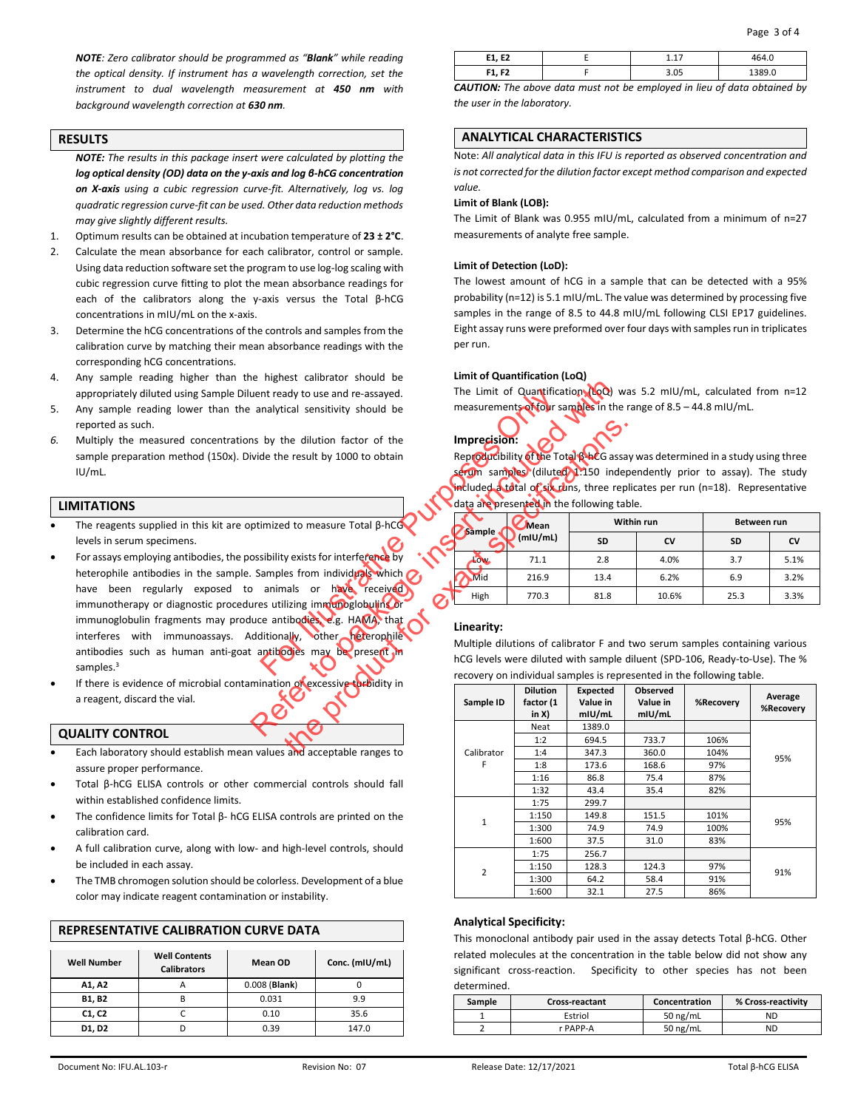*NOTE: Zero calibrator should be programmed as "Blank" while reading the optical density. If instrument has a wavelength correction, set the instrument to dual wavelength measurement at 450 nm with background wavelength correction at 630 nm.*

# **RESULTS**

*NOTE: The results in this package insert were calculated by plotting the log optical density (OD) data on the y-axis and log β-hCG concentration on X-axis using a cubic regression curve-fit. Alternatively, log vs. log quadratic regression curve-fit can be used. Other data reduction methods may give slightly different results.*

- 1. Optimum results can be obtained at incubation temperature of **23 ± 2°C**.
- 2. Calculate the mean absorbance for each calibrator, control or sample. Using data reduction software set the program to use log-log scaling with cubic regression curve fitting to plot the mean absorbance readings for each of the calibrators along the y-axis versus the Total β-hCG concentrations in mIU/mL on the x-axis.
- 3. Determine the hCG concentrations of the controls and samples from the calibration curve by matching their mean absorbance readings with the corresponding hCG concentrations.
- 4. Any sample reading higher than the highest calibrator should be appropriately diluted using Sample Diluent ready to use and re-assayed.
- 5. Any sample reading lower than the analytical sensitivity should be reported as such.
- *6.* Multiply the measured concentrations by the dilution factor of the sample preparation method (150x). Divide the result by 1000 to obtain IU/mL.

## **LIMITATIONS**

- The reagents supplied in this kit are optimized to measure Total  $β$ -hCG levels in serum specimens.
- For assays employing antibodies, the possibility exists for interference by heterophile antibodies in the sample. Samples from individuals which  $\bigcirc$ have been regularly exposed to animals or have received immunotherapy or diagnostic procedures utilizing immunoglobulins or immunoglobulin fragments may produce antibodies, e.g. HAMA, that interferes with immunoassays. Additionally, other heterophile antibodies such as human anti-goat antibodies may be present in samples.<sup>3</sup> The Limit of Quantifics<br>
by the dilution factor of the<br>
de the result by 1000 to obtain<br>
The Limit of Quantifics<br>
de the result by 1000 to obtain<br>
Reproducibility<br>
Reproducibility<br>
Reproducibility<br>
Section Samples (dilute Referred to the same of the time of Quantification (New True and the same of the time of Quantification (New York)<br>
analytical sensitivity should be<br>
analytical sensitivity should be<br>
wide the result by 1000 to obtain<br>
Si the dilution factor of the<br>
result by 1000 to obtain<br>
Reproductibility of the Total Reads asset<br>
result by 1000 to obtain<br>
Reproductions. There are<br>
result to measure Total β-hCG<br>
data are presented in the following tat<br>
- If there is evidence of microbial contamination of excessive turbidity in a reagent, discard the vial.

## **QUALITY CONTROL**

- Each laboratory should establish mean values and acceptable ranges to assure proper performance.
- Total β-hCG ELISA controls or other commercial controls should fall within established confidence limits.
- The confidence limits for Total  $β$  hCG ELISA controls are printed on the calibration card.
- A full calibration curve, along with low- and high-level controls, should be included in each assay.
- The TMB chromogen solution should be colorless. Development of a blue color may indicate reagent contamination or instability.

| <b>Well Number</b> | <b>Well Contents</b><br><b>Calibrators</b> | Mean OD         | Conc. (mIU/mL) |  |  |  |  |
|--------------------|--------------------------------------------|-----------------|----------------|--|--|--|--|
| A1, A2             | A                                          | $0.008$ (Blank) |                |  |  |  |  |
| B1, B2             | В                                          | 0.031           | 9.9            |  |  |  |  |
| C1, C2             |                                            | 0.10            | 35.6           |  |  |  |  |
| D1, D2             |                                            | 0.39            | 147.0          |  |  |  |  |

# **REPRESENTATIVE CALIBRATION CLIRVE DATA**

| -4<br>--<br>--,  |           |  |
|------------------|-----------|--|
| c٦<br>г4<br>. ., | ח כ<br>uj |  |

*CAUTION: The above data must not be employed in lieu of data obtained by the user in the laboratory.*

# **ANALYTICAL CHARACTERISTICS**

Note: *All analytical data in this IFU is reported as observed concentration and is not corrected for the dilution factor except method comparison and expected value.*

#### **Limit of Blank (LOB):**

The Limit of Blank was 0.955 mIU/mL, calculated from a minimum of n=27 measurements of analyte free sample.

#### **Limit of Detection (LoD):**

The lowest amount of hCG in a sample that can be detected with a 95% probability (n=12) is 5.1 mIU/mL. The value was determined by processing five samples in the range of 8.5 to 44.8 mIU/mL following CLSI EP17 guidelines. Eight assay runs were preformed over four days with samples run in triplicates per run.

# **Limit of Quantification (LoQ)**

The Limit of Quantification (LoQ) was 5.2 mIU/mL, calculated from n=12 measurements of four samples in the range of 8.5 – 44.8 mIU/mL.

**Imprecision:** Reproducibility of the Total β-hCG assay was determined in a study using three erum samples (diluted 1:150 independently prior to assay). The study included a total of six runs, three replicates per run (n=18). Representative data are presented in the following table.

|        | Mean     | Within run |       | Between run |      |
|--------|----------|------------|-------|-------------|------|
| Sample | (mIU/ml) | <b>SD</b>  | CV    | <b>SD</b>   | CV   |
| LOW    | 71.1     | 2.8        | 4.0%  | 3.7         | 5.1% |
| Mid    | 216.9    | 13.4       | 6.2%  | 6.9         | 3.2% |
| High   | 770.3    | 81.8       | 10.6% | 25.3        | 3.3% |

# **Linearity:**

Multiple dilutions of calibrator F and two serum samples containing various hCG levels were diluted with sample diluent (SPD-106, Ready-to-Use). The % recovery on individual samples is represented in the following table.

| Sample ID      | <b>Dilution</b><br>factor (1<br>in X) | Expected<br>Value in<br>mIU/mL | <b>Observed</b><br>Value in<br>mIU/mL | %Recovery | Average<br>%Recovery |
|----------------|---------------------------------------|--------------------------------|---------------------------------------|-----------|----------------------|
|                | Neat                                  | 1389.0                         |                                       |           |                      |
|                | 1:2                                   | 694.5                          | 733.7                                 | 106%      |                      |
| Calibrator     | 1:4                                   | 347.3                          | 360.0                                 | 104%      | 95%                  |
| F              | 1:8                                   | 173.6                          | 168.6                                 | 97%       |                      |
|                | 1:16                                  | 86.8                           | 75.4                                  | 87%       |                      |
|                | 1:32                                  | 43.4                           | 35.4                                  | 82%       |                      |
|                | 1:75                                  | 299.7                          |                                       |           | 95%                  |
| $\mathbf{1}$   | 1:150                                 | 149.8                          | 151.5                                 | 101%      |                      |
|                | 1:300                                 | 74.9                           | 74.9                                  | 100%      |                      |
|                | 1:600                                 | 37.5                           | 31.0                                  | 83%       |                      |
|                | 1:75                                  | 256.7                          |                                       |           |                      |
| $\overline{2}$ | 1:150                                 | 128.3                          | 124.3                                 | 97%       | 91%                  |
|                | 1:300                                 | 64.2                           | 58.4                                  | 91%       |                      |
|                | 1:600                                 | 32.1                           | 27.5                                  | 86%       |                      |

# **Analytical Specificity:**

This monoclonal antibody pair used in the assay detects Total β-hCG. Other related molecules at the concentration in the table below did not show any significant cross-reaction. Specificity to other species has not been determined.

| Sample | Cross-reactant | Concentration | % Cross-reactivity |
|--------|----------------|---------------|--------------------|
|        | Estriol        | 50 $ng/mL$    | <b>ND</b>          |
|        | r PAPP-A       | 50 $ng/mL$    | <b>ND</b>          |